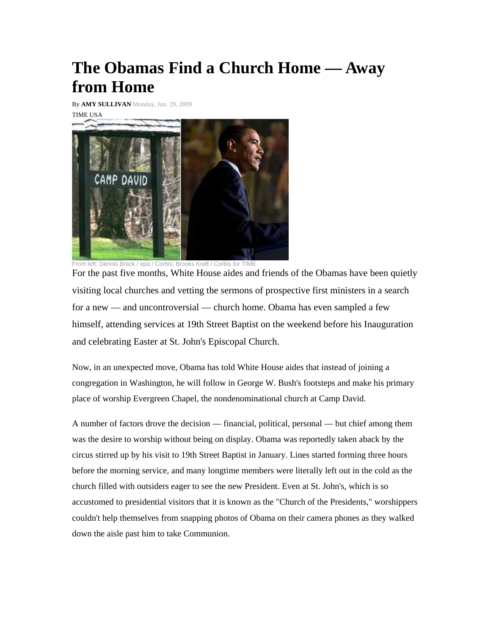## **The Obamas Find a Church Home — Away from Home**

By **AMY SULLIVAN** Monday, Jun. 29, 2009 TIME USA



From left: Dennis Brack / epa / Corbis; Brooks Kraft / Corbis for TIME

For the past five months, White House aides and friends of the Obamas have been quietly visiting local churches and vetting the sermons of prospective first ministers in a search for a new — and uncontroversial — church home. Obama has even sampled a few himself, attending services at 19th Street Baptist on the weekend before his Inauguration and celebrating Easter at St. John's Episcopal Church.

Now, in an unexpected move, Obama has told White House aides that instead of joining a congregation in Washington, he will follow in George W. Bush's footsteps and make his primary place of worship Evergreen Chapel, the nondenominational church at Camp David.

A number of factors drove the decision — financial, political, personal — but chief among them was the desire to worship without being on display. Obama was reportedly taken aback by the circus stirred up by his visit to 19th Street Baptist in January. Lines started forming three hours before the morning service, and many longtime members were literally left out in the cold as the church filled with outsiders eager to see the new President. Even at St. John's, which is so accustomed to presidential visitors that it is known as the "Church of the Presidents," worshippers couldn't help themselves from snapping photos of Obama on their camera phones as they walked down the aisle past him to take Communion.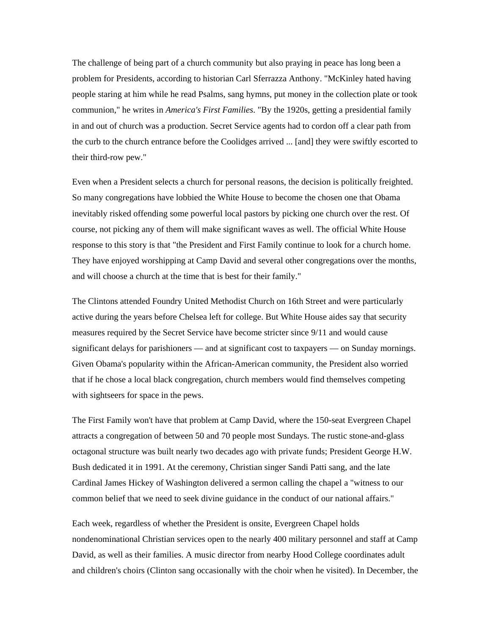The challenge of being part of a church community but also praying in peace has long been a problem for Presidents, according to historian Carl Sferrazza Anthony. "McKinley hated having people staring at him while he read Psalms, sang hymns, put money in the collection plate or took communion," he writes in *America's First Families*. "By the 1920s, getting a presidential family in and out of church was a production. Secret Service agents had to cordon off a clear path from the curb to the church entrance before the Coolidges arrived ... [and] they were swiftly escorted to their third-row pew."

Even when a President selects a church for personal reasons, the decision is politically freighted. So many congregations have lobbied the White House to become the chosen one that Obama inevitably risked offending some powerful local pastors by picking one church over the rest. Of course, not picking any of them will make significant waves as well. The official White House response to this story is that "the President and First Family continue to look for a church home. They have enjoyed worshipping at Camp David and several other congregations over the months, and will choose a church at the time that is best for their family."

The Clintons attended Foundry United Methodist Church on 16th Street and were particularly active during the years before Chelsea left for college. But White House aides say that security measures required by the Secret Service have become stricter since 9/11 and would cause significant delays for parishioners — and at significant cost to taxpayers — on Sunday mornings. Given Obama's popularity within the African-American community, the President also worried that if he chose a local black congregation, church members would find themselves competing with sightseers for space in the pews.

The First Family won't have that problem at Camp David, where the 150-seat Evergreen Chapel attracts a congregation of between 50 and 70 people most Sundays. The rustic stone-and-glass octagonal structure was built nearly two decades ago with private funds; President George H.W. Bush dedicated it in 1991. At the ceremony, Christian singer Sandi Patti sang, and the late Cardinal James Hickey of Washington delivered a sermon calling the chapel a "witness to our common belief that we need to seek divine guidance in the conduct of our national affairs."

Each week, regardless of whether the President is onsite, Evergreen Chapel holds nondenominational Christian services open to the nearly 400 military personnel and staff at Camp David, as well as their families. A music director from nearby Hood College coordinates adult and children's choirs (Clinton sang occasionally with the choir when he visited). In December, the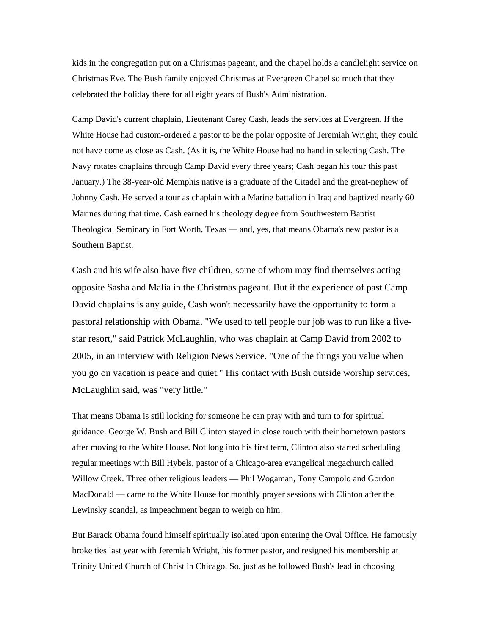kids in the congregation put on a Christmas pageant, and the chapel holds a candlelight service on Christmas Eve. The Bush family enjoyed Christmas at Evergreen Chapel so much that they celebrated the holiday there for all eight years of Bush's Administration.

Camp David's current chaplain, Lieutenant Carey Cash, leads the services at Evergreen. If the White House had custom-ordered a pastor to be the polar opposite of Jeremiah Wright, they could not have come as close as Cash. (As it is, the White House had no hand in selecting Cash. The Navy rotates chaplains through Camp David every three years; Cash began his tour this past January.) The 38-year-old Memphis native is a graduate of the Citadel and the great-nephew of Johnny Cash. He served a tour as chaplain with a Marine battalion in Iraq and baptized nearly 60 Marines during that time. Cash earned his theology degree from Southwestern Baptist Theological Seminary in Fort Worth, Texas — and, yes, that means Obama's new pastor is a Southern Baptist.

Cash and his wife also have five children, some of whom may find themselves acting opposite Sasha and Malia in the Christmas pageant. But if the experience of past Camp David chaplains is any guide, Cash won't necessarily have the opportunity to form a pastoral relationship with Obama. "We used to tell people our job was to run like a fivestar resort," said Patrick McLaughlin, who was chaplain at Camp David from 2002 to 2005, in an interview with Religion News Service. "One of the things you value when you go on vacation is peace and quiet." His contact with Bush outside worship services, McLaughlin said, was "very little."

That means Obama is still looking for someone he can pray with and turn to for spiritual guidance. George W. Bush and Bill Clinton stayed in close touch with their hometown pastors after moving to the White House. Not long into his first term, Clinton also started scheduling regular meetings with Bill Hybels, pastor of a Chicago-area evangelical megachurch called Willow Creek. Three other religious leaders — Phil Wogaman, Tony Campolo and Gordon MacDonald — came to the White House for monthly prayer sessions with Clinton after the Lewinsky scandal, as impeachment began to weigh on him.

But Barack Obama found himself spiritually isolated upon entering the Oval Office. He famously broke ties last year with Jeremiah Wright, his former pastor, and resigned his membership at Trinity United Church of Christ in Chicago. So, just as he followed Bush's lead in choosing